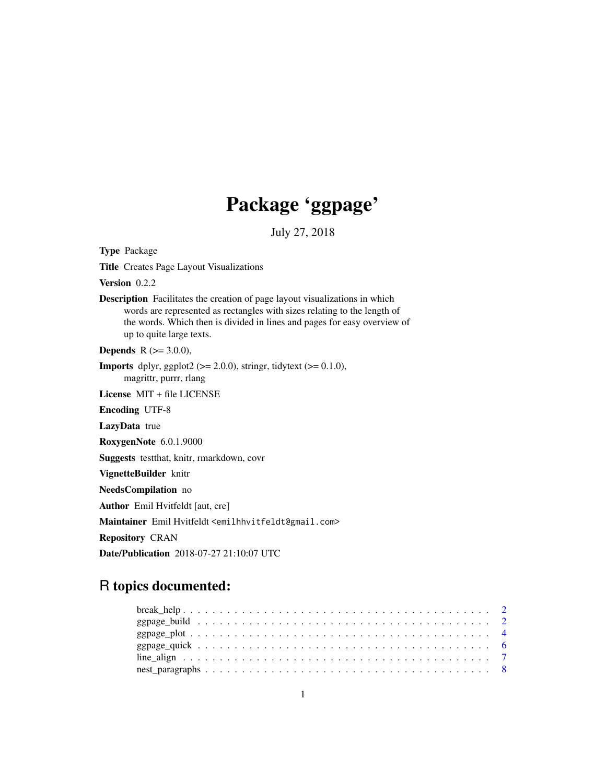## Package 'ggpage'

July 27, 2018

Title Creates Page Layout Visualizations Version 0.2.2 Description Facilitates the creation of page layout visualizations in which words are represented as rectangles with sizes relating to the length of the words. Which then is divided in lines and pages for easy overview of up to quite large texts. **Depends** R  $(>= 3.0.0)$ , **Imports** dplyr, ggplot2 ( $>= 2.0.0$ ), stringr, tidytext ( $>= 0.1.0$ ), magrittr, purrr, rlang License MIT + file LICENSE Encoding UTF-8 LazyData true RoxygenNote 6.0.1.9000 Suggests testthat, knitr, rmarkdown, covr VignetteBuilder knitr NeedsCompilation no Author Emil Hvitfeldt [aut, cre] Maintainer Emil Hvitfeldt <emilhhvitfeldt@gmail.com> Repository CRAN Date/Publication 2018-07-27 21:10:07 UTC

# R topics documented:

Type Package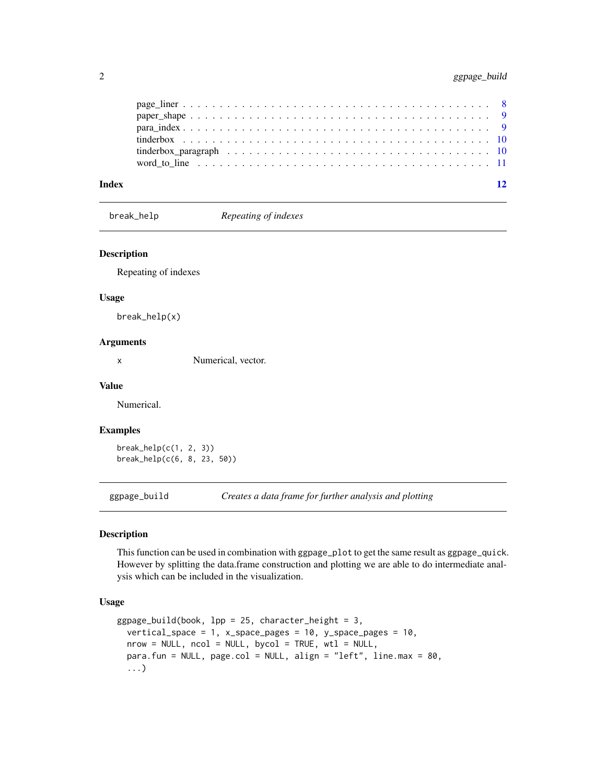| Index | 12 |
|-------|----|
|       |    |
|       |    |
|       |    |
|       |    |
|       |    |
|       |    |

break\_help *Repeating of indexes*

#### Description

Repeating of indexes

#### Usage

break\_help(x)

#### Arguments

x Numerical, vector.

#### Value

Numerical.

#### Examples

break\_help(c(1, 2, 3)) break\_help(c(6, 8, 23, 50))

ggpage\_build *Creates a data frame for further analysis and plotting*

#### Description

This function can be used in combination with ggpage\_plot to get the same result as ggpage\_quick. However by splitting the data.frame construction and plotting we are able to do intermediate analysis which can be included in the visualization.

#### Usage

```
ggpage\_build(book, 1pp = 25, character\_height = 3,vertical_space = 1, x_space_pages = 10, y_space_pages = 10,
 nrow = NULL, ncol = NULL, bycol = TRUE, wtl = NULL,para.fun = NULL, page.col = NULL, align = "left", line.max = 80,
  ...)
```
<span id="page-1-0"></span>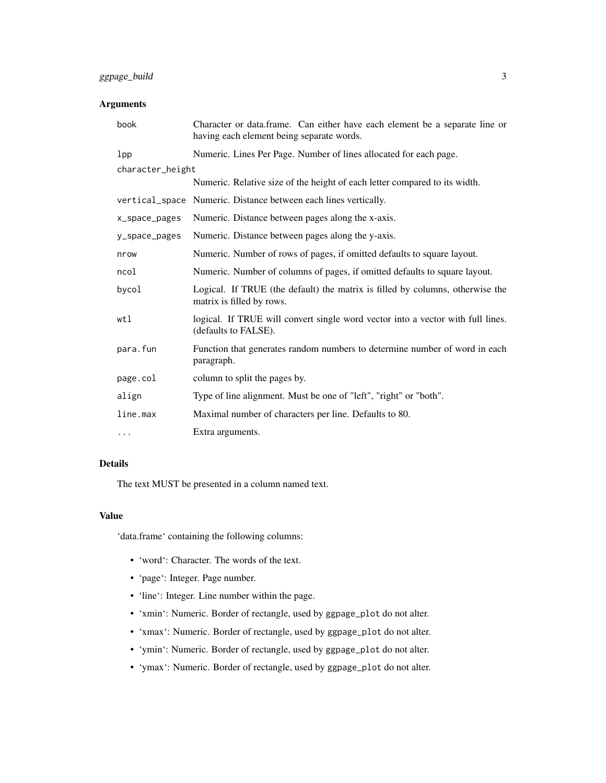#### ggpage\_build 3

#### Arguments

| book             | Character or data.frame. Can either have each element be a separate line or<br>having each element being separate words. |
|------------------|--------------------------------------------------------------------------------------------------------------------------|
| 1 <sub>pp</sub>  | Numeric. Lines Per Page. Number of lines allocated for each page.                                                        |
| character_height |                                                                                                                          |
|                  | Numeric. Relative size of the height of each letter compared to its width.                                               |
|                  | vertical_space Numeric. Distance between each lines vertically.                                                          |
| x_space_pages    | Numeric. Distance between pages along the x-axis.                                                                        |
| y_space_pages    | Numeric. Distance between pages along the y-axis.                                                                        |
| nrow             | Numeric. Number of rows of pages, if omitted defaults to square layout.                                                  |
| ncol             | Numeric. Number of columns of pages, if omitted defaults to square layout.                                               |
| bycol            | Logical. If TRUE (the default) the matrix is filled by columns, otherwise the<br>matrix is filled by rows.               |
| wtl              | logical. If TRUE will convert single word vector into a vector with full lines.<br>(defaults to FALSE).                  |
| para.fun         | Function that generates random numbers to determine number of word in each<br>paragraph.                                 |
| page.col         | column to split the pages by.                                                                                            |
| align            | Type of line alignment. Must be one of "left", "right" or "both".                                                        |
| line.max         | Maximal number of characters per line. Defaults to 80.                                                                   |
| .                | Extra arguments.                                                                                                         |

#### Details

The text MUST be presented in a column named text.

#### Value

'data.frame' containing the following columns:

- 'word': Character. The words of the text.
- 'page': Integer. Page number.
- 'line': Integer. Line number within the page.
- 'xmin': Numeric. Border of rectangle, used by ggpage\_plot do not alter.
- 'xmax': Numeric. Border of rectangle, used by ggpage\_plot do not alter.
- 'ymin': Numeric. Border of rectangle, used by ggpage\_plot do not alter.
- 'ymax': Numeric. Border of rectangle, used by ggpage\_plot do not alter.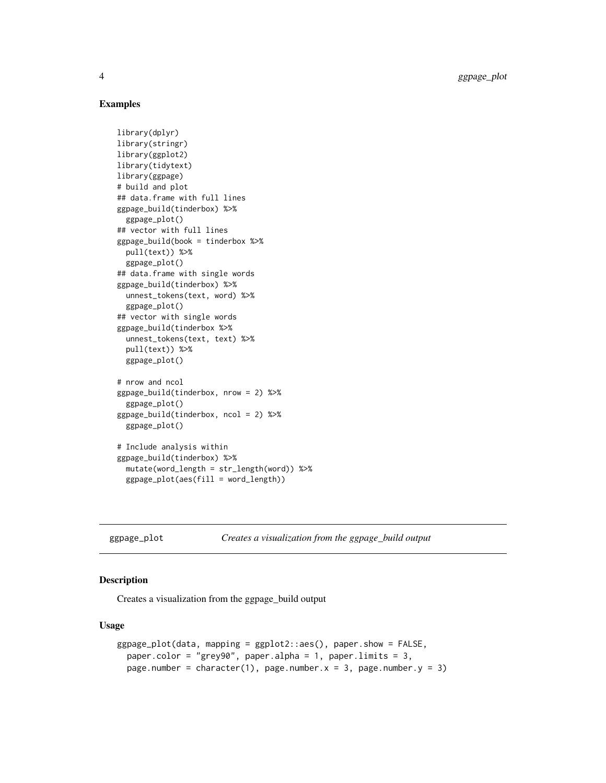#### Examples

```
library(dplyr)
library(stringr)
library(ggplot2)
library(tidytext)
library(ggpage)
# build and plot
## data.frame with full lines
ggpage_build(tinderbox) %>%
  ggpage_plot()
## vector with full lines
ggpage_build(book = tinderbox %>%
  pull(text)) %>%
  ggpage_plot()
## data.frame with single words
ggpage_build(tinderbox) %>%
  unnest_tokens(text, word) %>%
  ggpage_plot()
## vector with single words
ggpage_build(tinderbox %>%
  unnest_tokens(text, text) %>%
  pull(text)) %>%
  ggpage_plot()
# nrow and ncol
ggpage_build(tinderbox, nrow = 2) %>%
  ggpage_plot()
ggpage_build(tinderbox, ncol = 2) %>%
  ggpage_plot()
# Include analysis within
ggpage_build(tinderbox) %>%
  mutate(word_length = str_length(word)) %>%
  ggpage\_plot(aes(fill = word\_length))
```
ggpage\_plot *Creates a visualization from the ggpage\_build output*

#### Description

Creates a visualization from the ggpage\_build output

#### Usage

```
ggpage_plot(data, mapping = ggplot2::aes(), paper.show = FALSE,
 paper.color = "grey90", paper.alpha = 1, paper.limits = 3,
 page.number = character(1), page.number.x = 3, page.number.y = 3)
```
<span id="page-3-0"></span>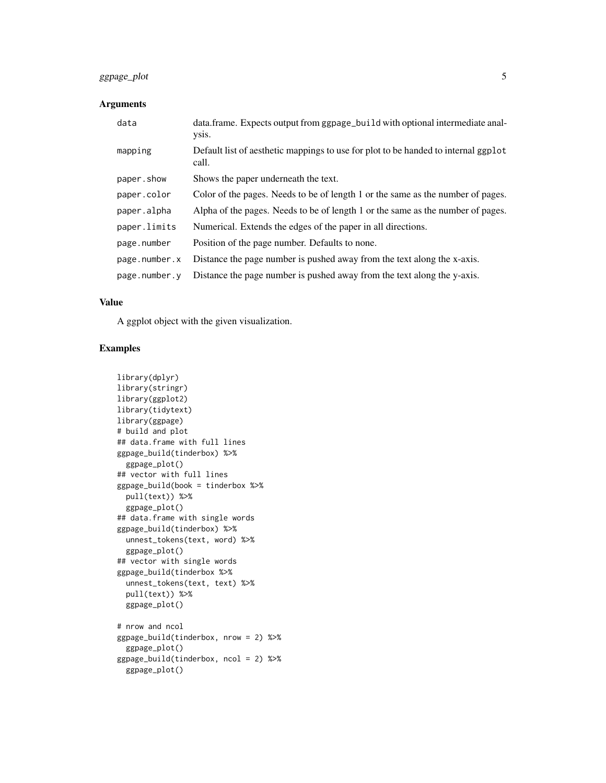#### ggpage\_plot 5

#### Arguments

| data          | data.frame. Expects output from ggpage_build with optional intermediate anal-<br>ysis.      |
|---------------|---------------------------------------------------------------------------------------------|
| mapping       | Default list of aesthetic mappings to use for plot to be handed to internal ggplot<br>call. |
| paper.show    | Shows the paper underneath the text.                                                        |
| paper.color   | Color of the pages. Needs to be of length 1 or the same as the number of pages.             |
| paper.alpha   | Alpha of the pages. Needs to be of length 1 or the same as the number of pages.             |
| paper.limits  | Numerical. Extends the edges of the paper in all directions.                                |
| page.number   | Position of the page number. Defaults to none.                                              |
| page.number.x | Distance the page number is pushed away from the text along the x-axis.                     |
| page.number.v | Distance the page number is pushed away from the text along the y-axis.                     |

#### Value

A ggplot object with the given visualization.

#### Examples

```
library(dplyr)
library(stringr)
library(ggplot2)
library(tidytext)
library(ggpage)
# build and plot
## data.frame with full lines
ggpage_build(tinderbox) %>%
  ggpage_plot()
## vector with full lines
ggpage_build(book = tinderbox %>%
  pull(text)) %>%
  ggpage_plot()
## data.frame with single words
ggpage_build(tinderbox) %>%
  unnest_tokens(text, word) %>%
  ggpage_plot()
## vector with single words
ggpage_build(tinderbox %>%
  unnest_tokens(text, text) %>%
  pull(text)) %>%
  ggpage_plot()
# nrow and ncol
ggpage_build(tinderbox, nrow = 2) %>%
  ggpage_plot()
ggpage_build(tinderbox, ncol = 2) %>%
  ggpage_plot()
```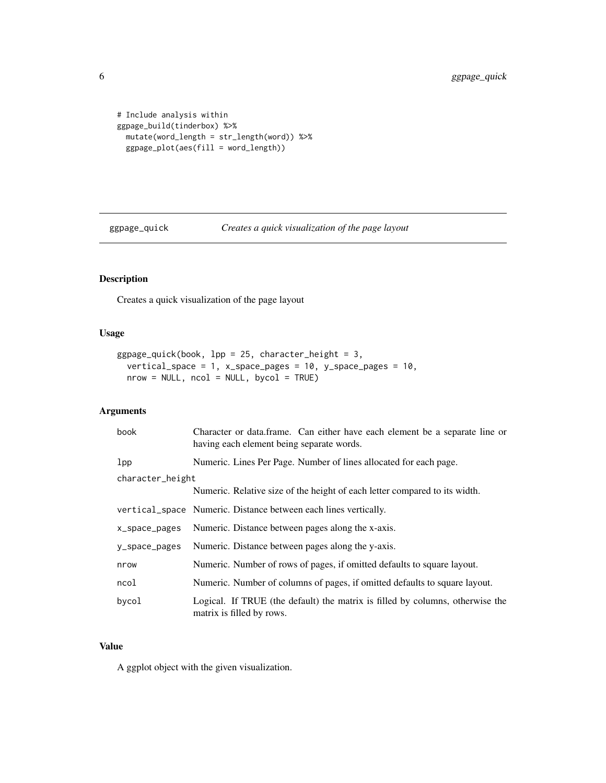```
# Include analysis within
ggpage_build(tinderbox) %>%
  mutate(word_length = str_length(word)) %>%
  ggpage_plot(aes(fill = word_length))
```
ggpage\_quick *Creates a quick visualization of the page layout*

### Description

Creates a quick visualization of the page layout

#### Usage

```
ggpage_quick(book, lpp = 25, character_height = 3,
 vertical_space = 1, x_space_pages = 10, y_space_pages = 10,
 nrow = NULL, ncol = NULL, bycol = TRUE
```
#### Arguments

| book             | Character or data.frame. Can either have each element be a separate line or<br>having each element being separate words. |
|------------------|--------------------------------------------------------------------------------------------------------------------------|
| 1 <sub>pp</sub>  | Numeric. Lines Per Page. Number of lines allocated for each page.                                                        |
| character_height |                                                                                                                          |
|                  | Numeric. Relative size of the height of each letter compared to its width.                                               |
|                  | vertical_space Numeric. Distance between each lines vertically.                                                          |
| x_space_pages    | Numeric. Distance between pages along the x-axis.                                                                        |
| y_space_pages    | Numeric. Distance between pages along the y-axis.                                                                        |
| nrow             | Numeric. Number of rows of pages, if omitted defaults to square layout.                                                  |
| ncol             | Numeric. Number of columns of pages, if omitted defaults to square layout.                                               |
| bycol            | Logical. If TRUE (the default) the matrix is filled by columns, otherwise the<br>matrix is filled by rows.               |

#### Value

A ggplot object with the given visualization.

<span id="page-5-0"></span>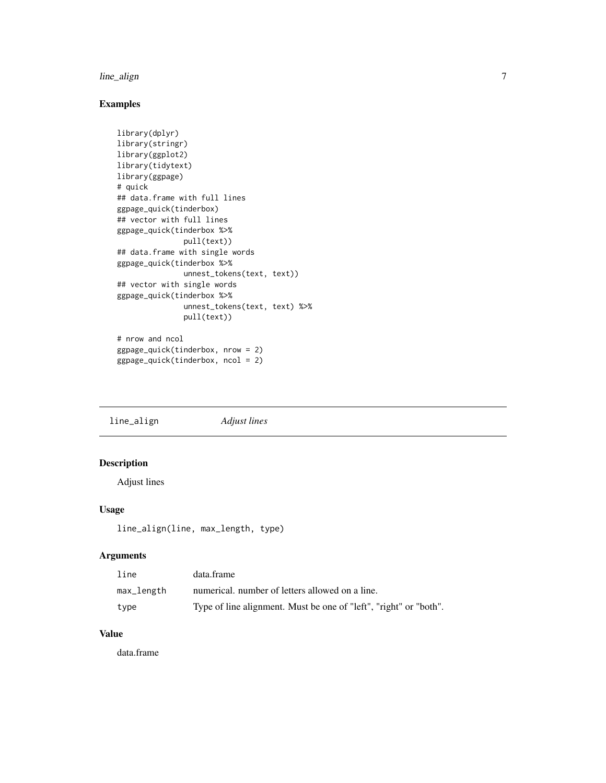#### <span id="page-6-0"></span>line\_align 7

#### Examples

```
library(dplyr)
library(stringr)
library(ggplot2)
library(tidytext)
library(ggpage)
# quick
## data.frame with full lines
ggpage_quick(tinderbox)
## vector with full lines
ggpage_quick(tinderbox %>%
               pull(text))
## data.frame with single words
ggpage_quick(tinderbox %>%
               unnest_tokens(text, text))
## vector with single words
ggpage_quick(tinderbox %>%
               unnest_tokens(text, text) %>%
               pull(text))
# nrow and ncol
```

```
ggpage_quick(tinderbox, nrow = 2)
ggpage_quick(tinderbox, ncol = 2)
```
line\_align *Adjust lines*

#### Description

Adjust lines

#### Usage

line\_align(line, max\_length, type)

#### Arguments

| line       | data.frame                                                        |
|------------|-------------------------------------------------------------------|
| max_length | numerical, number of letters allowed on a line.                   |
| type       | Type of line alignment. Must be one of "left", "right" or "both". |

#### Value

data.frame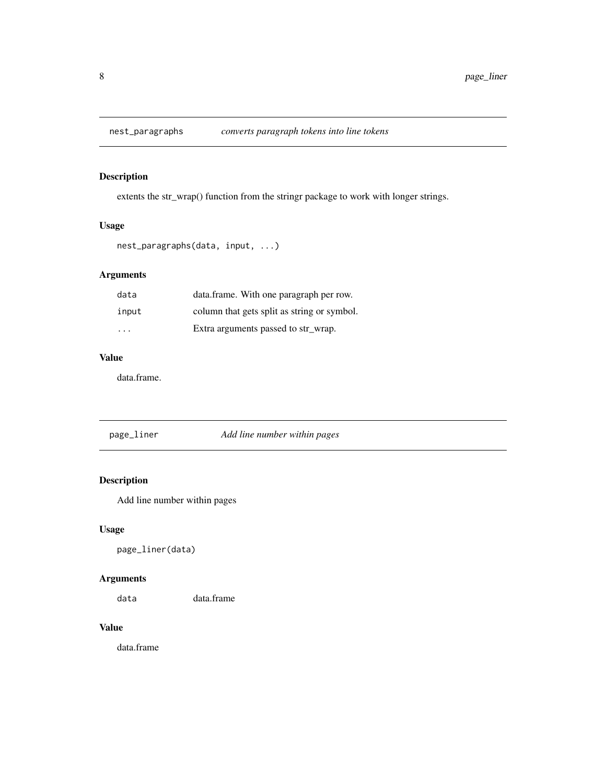<span id="page-7-0"></span>

extents the str\_wrap() function from the stringr package to work with longer strings.

#### Usage

```
nest_paragraphs(data, input, ...)
```
### Arguments

| data  | data.frame. With one paragraph per row.     |
|-------|---------------------------------------------|
| input | column that gets split as string or symbol. |
| .     | Extra arguments passed to str_wrap.         |

#### Value

data.frame.

| page_liner | Add line number within pages |
|------------|------------------------------|
|------------|------------------------------|

### Description

Add line number within pages

#### Usage

page\_liner(data)

#### Arguments

data data.frame

#### Value

data.frame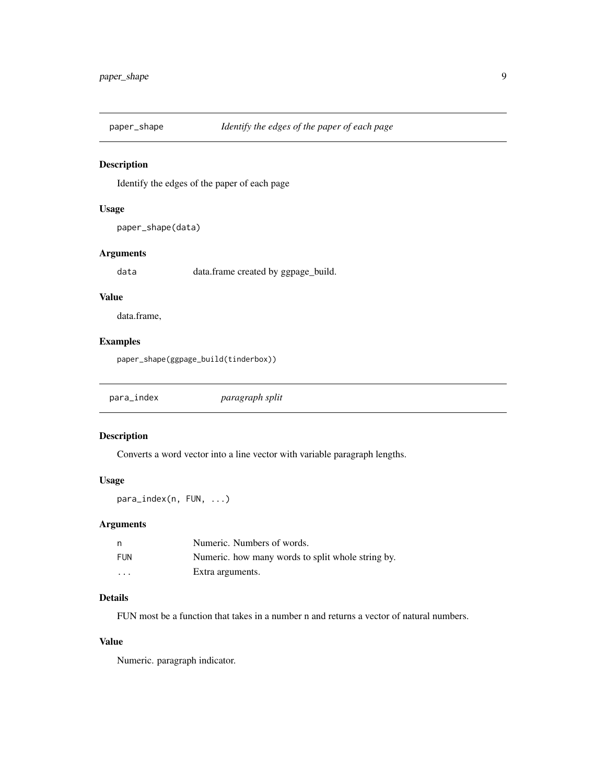<span id="page-8-0"></span>

Identify the edges of the paper of each page

#### Usage

paper\_shape(data)

#### Arguments

data data.frame created by ggpage\_build.

#### Value

data.frame,

#### Examples

paper\_shape(ggpage\_build(tinderbox))

|--|

#### Description

Converts a word vector into a line vector with variable paragraph lengths.

#### Usage

para\_index(n, FUN, ...)

#### Arguments

| n                       | Numeric. Numbers of words.                        |
|-------------------------|---------------------------------------------------|
| <b>FUN</b>              | Numeric, how many words to split whole string by. |
| $\cdot$ $\cdot$ $\cdot$ | Extra arguments.                                  |

#### Details

FUN most be a function that takes in a number n and returns a vector of natural numbers.

#### Value

Numeric. paragraph indicator.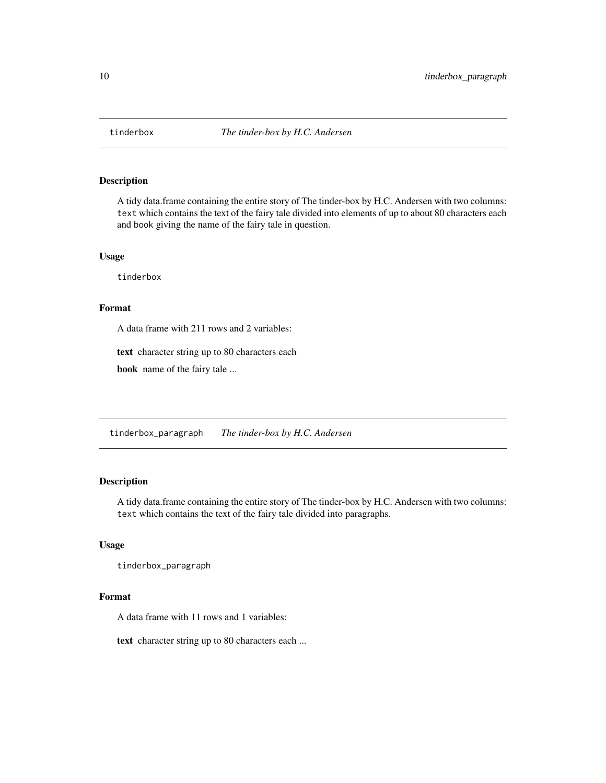<span id="page-9-0"></span>

A tidy data.frame containing the entire story of The tinder-box by H.C. Andersen with two columns: text which contains the text of the fairy tale divided into elements of up to about 80 characters each and book giving the name of the fairy tale in question.

#### Usage

tinderbox

#### Format

A data frame with 211 rows and 2 variables:

text character string up to 80 characters each

book name of the fairy tale ...

tinderbox\_paragraph *The tinder-box by H.C. Andersen*

#### Description

A tidy data.frame containing the entire story of The tinder-box by H.C. Andersen with two columns: text which contains the text of the fairy tale divided into paragraphs.

#### Usage

tinderbox\_paragraph

#### Format

A data frame with 11 rows and 1 variables:

text character string up to 80 characters each ...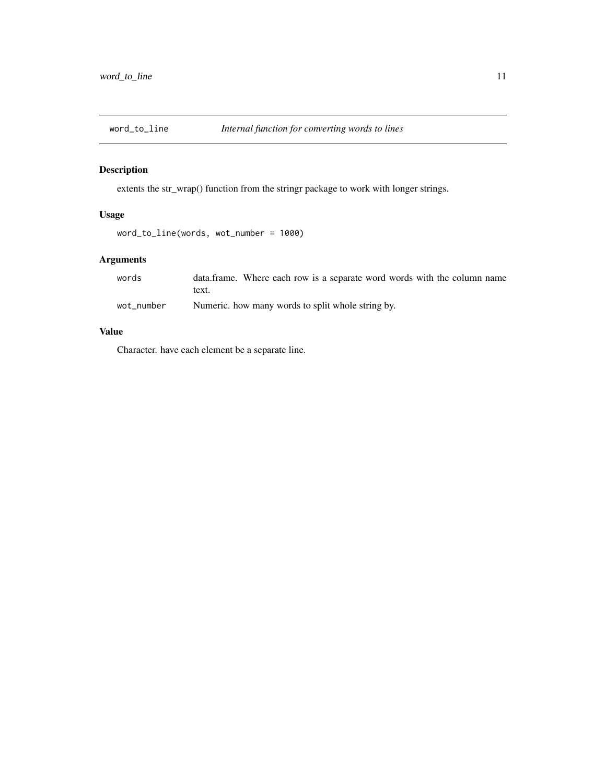<span id="page-10-0"></span>

extents the str\_wrap() function from the stringr package to work with longer strings.

#### Usage

```
word_to_line(words, wot_number = 1000)
```
#### Arguments

| words      | data.frame. Where each row is a separate word words with the column name |
|------------|--------------------------------------------------------------------------|
|            | text.                                                                    |
| wot_number | Numeric, how many words to split whole string by.                        |

#### Value

Character. have each element be a separate line.